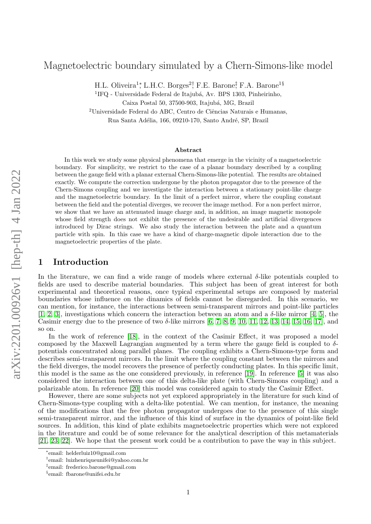# Magnetoelectric boundary simulated by a Chern-Simons-like model

H.L. Oliveira<sup>1</sup><sup>\*</sup>, L.H.C. Borges<sup>2†</sup>, F.E. Barone<sup>‡</sup>, F.A. Barone<sup>1§</sup>

<sup>1</sup>IFQ - Universidade Federal de Itajubá, Av. BPS 1303, Pinheirinho, Caixa Postal 50, 37500-903, Itajubá, MG, Brazil

 $2$ Universidade Federal do ABC, Centro de Ciências Naturais e Humanas. Rua Santa Adélia, 166, 09210-170, Santo André, SP, Brazil

#### Abstract

In this work we study some physical phenomena that emerge in the vicinity of a magnetoelectric boundary. For simplicity, we restrict to the case of a planar boundary described by a coupling between the gauge field with a planar external Chern-Simons-like potential. The results are obtained exactly. We compute the correction undergone by the photon propagator due to the presence of the Chern-Simons coupling and we investigate the interaction between a stationary point-like charge and the magnetoelectric boundary. In the limit of a perfect mirror, where the coupling constant between the field and the potential diverges, we recover the image method. For a non perfect mirror, we show that we have an attenuated image charge and, in addition, an image magnetic monopole whose field strength does not exhibit the presence of the undesirable and artificial divergences introduced by Dirac strings. We also study the interaction between the plate and a quantum particle with spin. In this case we have a kind of charge-magnetic dipole interaction due to the magnetoelectric properties of the plate.

## 1 Introduction

In the literature, we can find a wide range of models where external  $\delta$ -like potentials coupled to fields are used to describe material boundaries. This subject has been of great interest for both experimental and theoretical reasons, once typical experimental setups are composed by material boundaries whose influence on the dinamics of fields cannot be disregarded. In this scenario, we can mention, for instance, the interactions between semi-transparent mirrors and point-like particles [\[1,](#page-11-0) [2,](#page-11-1) [3\]](#page-11-2), investigations which concern the interaction between an atom and a  $\delta$ -like mirror [\[4,](#page-11-3) [5\]](#page-11-4), the Casimir energy due to the presence of two δ-like mirrors [\[6,](#page-11-5) [7,](#page-11-6) [8,](#page-11-7) [9,](#page-11-8) [10,](#page-11-9) [11,](#page-11-10) [12,](#page-11-11) [13,](#page-11-12) [14,](#page-11-13) [15,](#page-11-14) [16,](#page-11-15) [17\]](#page-11-16), and so on.

In the work of reference [\[18\]](#page-11-17), in the context of the Casimir Effect, it was proposed a model composed by the Maxwell Lagrangian augmented by a term where the gauge field is coupled to  $\delta$ potentials concentrated along parallel planes. The coupling exhibits a Chern-Simons-type form and describes semi-transparent mirrors. In the limit where the coupling constant between the mirrors and the field diverges, the model recovers the presence of perfectly conducting plates. In this specific limit, this model is the same as the one considered previously, in reference [\[19\]](#page-11-18). In reference [\[5\]](#page-11-4) it was also considered the interaction between one of this delta-like plate (with Chern-Simons coupling) and a polarizable atom. In reference [\[20\]](#page-11-19) this model was considered again to study the Casimir Effect.

However, there are some subjects not yet explored appropriately in the literature for such kind of Chern-Simons-type coupling with a delta-like potential. We can mention, for instance, the meaning of the modifications that the free photon propagator undergoes due to the presence of this single semi-transparent mirror, and the influence of this kind of surface in the dynamics of point-like field sources. In addition, this kind of plate exhibits magnetoelectric properties which were not explored in the literature and could be of some relevance for the analytical description of this metamaterials [\[21,](#page-11-20) [23,](#page-11-21) [22\]](#page-11-22). We hope that the present work could be a contribution to pave the way in this subject.

<sup>∗</sup> email: helderluiz10@gmail.com

<sup>†</sup> email: luizhenriqueunifei@yahoo.com.br

<sup>‡</sup> email: frederico.barone@gmail.com

<sup>§</sup> email: fbarone@unifei.edu.br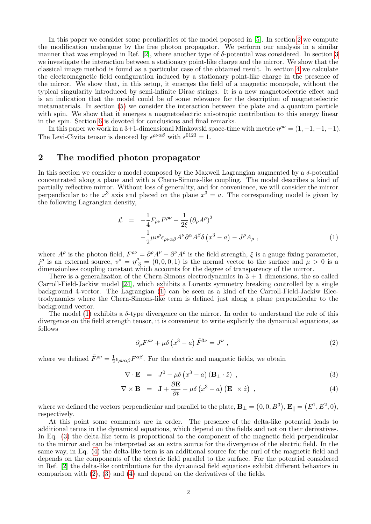In this paper we consider some peculiarities of the model poposed in [\[5\]](#page-11-4). In section [2](#page-1-0) we compute the modification undergone by the free photon propagator. We perform our analysis in a similar manner that was employed in Ref. [\[2\]](#page-11-1), where another type of δ-potential was considered. In section [3](#page-3-0) we investigate the interaction between a stationary point-like charge and the mirror. We show that the classical image method is found as a particular case of the obtained result. In section [4](#page-5-0) we calculate the electromagnetic field configuration induced by a stationary point-like charge in the presence of the mirror. We show that, in this setup, it emerges the field of a magnetic monopole, without the typical singularity introduced by semi-infinite Dirac strings. It is a new magnetoelectric effect and is an indication that the model could be of some relevance for the description of magnetoelectric metamaterials. In section [\(5\)](#page-7-0) we consider the interaction between the plate and a quantum particle with spin. We show that it emerges a magnetoelectric anisotropic contribution to this energy linear in the spin. Section [6](#page-9-0) is devoted for conclusions and final remarks.

In this paper we work in a 3+1-dimensional Minkowski space-time with metric  $\eta^{\rho\nu} = (1, -1, -1, -1)$ . The Levi-Civita tensor is denoted by  $\epsilon^{\rho\nu\alpha\beta}$  with  $\epsilon^{0123} = 1$ .

## <span id="page-1-0"></span>2 The modified photon propagator

In this section we consider a model composed by the Maxwell Lagrangian augmented by a  $\delta$ -potential concentrated along a plane and with a Chern-Simons-like coupling. The model describes a kind of partially reflective mirror. Without loss of generality, and for convenience, we will consider the mirror perpendicular to the  $x^3$  axis and placed on the plane  $x^3 = a$ . The corresponding model is given by the following Lagrangian density,

<span id="page-1-1"></span>
$$
\mathcal{L} = -\frac{1}{4} F_{\rho\nu} F^{\rho\nu} - \frac{1}{2\xi} (\partial_{\rho} A^{\rho})^2 \n- \frac{1}{2} \mu v^{\rho} \epsilon_{\rho\nu\alpha\beta} A^{\nu} \partial^{\alpha} A^{\beta} \delta (x^3 - a) - J^{\rho} A_{\rho} ,
$$
\n(1)

where  $A^{\rho}$  is the photon field,  $F^{\rho\nu} = \partial^{\rho}A^{\nu} - \partial^{\nu}A^{\rho}$  is the field strength,  $\xi$  is a gauge fixing parameter,  $j^{\rho}$  is an external source,  $v^{\rho} = \eta^{\rho}{}_{3} = (0,0,0,1)$  is the normal vector to the surface and  $\mu > 0$  is a dimensionless coupling constant which accounts for the degree of transparency of the mirror.

There is a generalization of the Chern-Simons electrodynamics in  $3 + 1$  dimensions, the so called Carroll-Field-Jackiw model [\[24\]](#page-11-23), which exhibits a Lorentz symmetry breaking controlled by a single background 4-vector. The Lagrangian [\(1\)](#page-1-1) can be seen as a kind of the Carroll-Field-Jackiw Electrodynamics where the Chern-Simons-like term is defined just along a plane perpendicular to the background vector.

The model [\(1\)](#page-1-1) exhibits a  $\delta$ -type divergence on the mirror. In order to understand the role of this divergence on the field strength tensor, it is convenient to write explicitly the dynamical equations, as follows

<span id="page-1-3"></span>
$$
\partial_{\rho}F^{\rho\nu} + \mu \delta \left(x^3 - a\right)\tilde{F}^{3\nu} = J^{\nu} \tag{2}
$$

where we defined  $\tilde{F}^{\rho\nu} = \frac{1}{2}$  $\frac{1}{2} \epsilon_{\rho\nu\alpha\beta} F^{\alpha\beta}$ . For the electric and magnetic fields, we obtain

<span id="page-1-2"></span>
$$
\nabla \cdot \mathbf{E} = J^0 - \mu \delta \left( x^3 - a \right) \left( \mathbf{B}_{\perp} \cdot \hat{z} \right) , \qquad (3)
$$

$$
\nabla \times \mathbf{B} = \mathbf{J} + \frac{\partial \mathbf{E}}{\partial t} - \mu \delta \left( x^3 - a \right) \left( \mathbf{E}_{\parallel} \times \hat{z} \right) , \qquad (4)
$$

where we defined the vectors perpendicular and parallel to the plate,  $\mathbf{B}_{\perp} = (0, 0, B^3), \mathbf{E}_{\parallel} = (E^1, E^2, 0),$ respectively.

At this point some comments are in order. The presence of the delta-like potential leads to additional terms in the dynamical equations, which depend on the fields and not on their derivatives. In Eq. [\(3\)](#page-1-2) the delta-like term is proportional to the component of the magnetic field perpendicular to the mirror and can be interpreted as an extra source for the divergence of the electric field. In the same way, in Eq. [\(4\)](#page-1-2) the delta-like term is an additional source for the curl of the magnetic field and depends on the components of the electric field parallel to the surface. For the potential considered in Ref. [\[2\]](#page-11-1) the delta-like contributions for the dynamical field equations exhibit different behaviors in comparison with [\(2\)](#page-1-3), [\(3\)](#page-1-2) and [\(4\)](#page-1-2) and depend on the derivatives of the fields.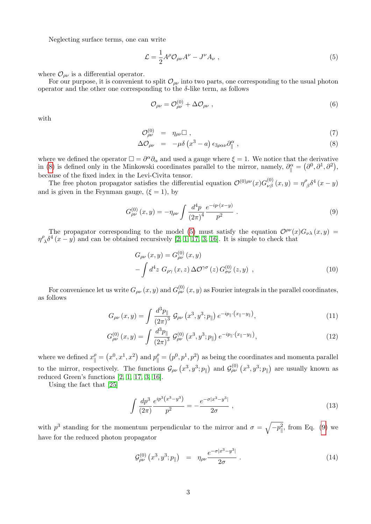Neglecting surface terms, one can write

<span id="page-2-1"></span>
$$
\mathcal{L} = \frac{1}{2} A^{\rho} \mathcal{O}_{\rho \nu} A^{\nu} - J^{\nu} A_{\nu} , \qquad (5)
$$

where  $\mathcal{O}_{\rho\nu}$  is a differential operator.

For our purpose, it is convenient to split  $\mathcal{O}_{\rho\nu}$  into two parts, one corresponding to the usual photon operator and the other one corresponding to the  $\delta$ -like term, as follows

$$
\mathcal{O}_{\rho\nu} = \mathcal{O}_{\rho\nu}^{(0)} + \Delta \mathcal{O}_{\rho\nu} \tag{6}
$$

with

<span id="page-2-0"></span>
$$
\mathcal{O}_{\rho\nu}^{(0)} = \eta_{\rho\nu} \Box , \qquad (7)
$$

$$
\Delta \mathcal{O}_{\rho\nu} = -\mu \delta \left( x^3 - a \right) \epsilon_{3\rho\alpha\nu} \partial_{\parallel}^{\alpha} , \qquad (8)
$$

where we defined the operator  $\Box = \partial^{\alpha} \partial_{\alpha}$  and used a gauge where  $\xi = 1$ . We notice that the derivative in [\(8\)](#page-2-0) is defined only in the Minkowski coordinates parallel to the mirror, namely,  $\partial_{\parallel}^{\alpha} = (\partial^0, \partial^1, \partial^2)$ , because of the fixed index in the Levi-Civita tensor.

The free photon propagator satisfies the differential equation  $\mathcal{O}^{(0)\rho\nu}(x)G^{(0)}_{\nu\beta}(x,y)=\eta^{\rho}$  $\int_{\beta}^{\beta} \delta^4(x-y)$ and is given in the Feynman gauge,  $(\xi = 1)$ , by

<span id="page-2-2"></span>
$$
G_{\rho\nu}^{(0)}(x,y) = -\eta_{\rho\nu} \int \frac{d^4p}{(2\pi)^4} \frac{e^{-ip \cdot (x-y)}}{p^2} . \tag{9}
$$

The propagator corresponding to the model [\(5\)](#page-2-1) must satisfy the equation  $\mathcal{O}^{\rho\nu}(x)G_{\nu\lambda}(x,y)$  $\eta^{\rho}$  $\int_{\lambda} \delta^4(x-y)$  and can be obtained recursively [\[2,](#page-11-1) [1,](#page-11-0) [17,](#page-11-16) [3,](#page-11-2) [16\]](#page-11-15). It is simple to check that

<span id="page-2-3"></span>
$$
G_{\rho\nu}(x,y) = G_{\rho\nu}^{(0)}(x,y)
$$

$$
-\int d^4z \; G_{\rho\gamma}(x,z) \,\Delta\mathcal{O}^{\gamma\sigma}(z) \, G_{\sigma\nu}^{(0)}(z,y) \;, \tag{10}
$$

For convenience let us write  $G_{\rho\nu} \left( x,y \right)$  and  $G_{\rho\nu}^{(0)} \left( x,y \right)$  as Fourier integrals in the parallel coordinates, as follows

<span id="page-2-4"></span>
$$
G_{\rho\nu}(x,y) = \int \frac{d^3p_{\parallel}}{(2\pi)^3} \mathcal{G}_{\rho\nu}(x^3, y^3; p_{\parallel}) e^{-ip_{\parallel} \cdot (x_{\parallel} - y_{\parallel})}, \tag{11}
$$

$$
G_{\rho\nu}^{(0)}(x,y) = \int \frac{d^3p_{\parallel}}{(2\pi)^3} \mathcal{G}_{\rho\nu}^{(0)}(x^3, y^3; p_{\parallel}) e^{-ip_{\parallel} \cdot (x_{\parallel} - y_{\parallel})}, \tag{12}
$$

where we defined  $x_{\parallel}^{\rho} = (x^0, x^1, x^2)$  and  $p_{\parallel}^{\rho} = (p^0, p^1, p^2)$  as being the coordinates and momenta parallel to the mirror, respectively. The functions  $\mathcal{G}_{\rho\nu}(x^3, y^3; p_{\parallel})$  and  $\mathcal{G}_{\rho\nu}^{(0)}(x^3, y^3; p_{\parallel})$  are usually known as reduced Green's functions [\[2,](#page-11-1) [1,](#page-11-0) [17,](#page-11-16) [3,](#page-11-2) [16\]](#page-11-15).

Using the fact that [\[25\]](#page-11-24)

$$
\int \frac{dp^3}{(2\pi)} \frac{e^{ip^3(x^3-y^3)}}{p^2} = -\frac{e^{-\sigma|x^3-y^3|}}{2\sigma} ,\qquad (13)
$$

with  $p^3$  standing for the momentum perpendicular to the mirror and  $\sigma = \sqrt{-p_{\parallel}^2}$ , from Eq. [\(9\)](#page-2-2) we have for the reduced photon propagator

<span id="page-2-5"></span>
$$
\mathcal{G}^{(0)}_{\rho\nu}(x^3, y^3; p_{\parallel}) = \eta_{\rho\nu} \frac{e^{-\sigma |x^3 - y^3|}}{2\sigma} \,. \tag{14}
$$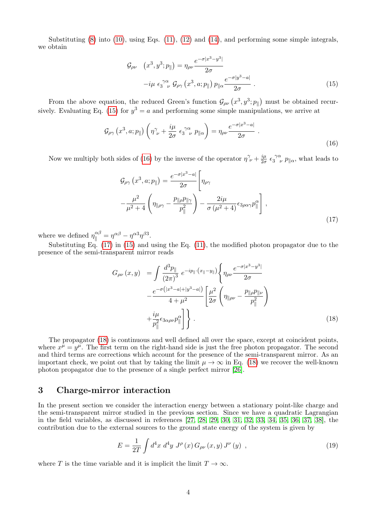Substituting  $(8)$  into  $(10)$ , using Eqs.  $(11)$ ,  $(12)$  and  $(14)$ , and performing some simple integrals, we obtain

<span id="page-3-1"></span>
$$
\mathcal{G}_{\rho\nu} \quad (x^3, y^3; p_{\parallel}) = \eta_{\rho\nu} \frac{e^{-\sigma |x^3 - y^3|}}{2\sigma}
$$

$$
-i\mu \epsilon_3^{\gamma\alpha} \mathcal{G}_{\rho\gamma} (x^3, a; p_{\parallel}) p_{\parallel\alpha} \frac{e^{-\sigma |y^3 - a|}}{2\sigma} . \tag{15}
$$

From the above equation, the reduced Green's function  $\mathcal{G}_{\rho\nu}(x^3, y^3; p_{\parallel})$  must be obtained recur-sively. Evaluating Eq. [\(15\)](#page-3-1) for  $y^3 = a$  and performing some simple manipulations, we arrive at

<span id="page-3-2"></span>
$$
\mathcal{G}_{\rho\gamma}\left(x^3, a; p_{\parallel}\right)\left(\eta^{\gamma}_{\ \nu} + \frac{i\mu}{2\sigma} \epsilon_3^{\ \gamma\alpha}_{\ \ \nu} \ p_{\parallel\alpha}\right) = \eta_{\rho\nu} \frac{e^{-\sigma|x^3 - a|}}{2\sigma} \ . \tag{16}
$$

Now we multiply both sides of [\(16\)](#page-3-2) by the inverse of the operator  $\eta^{\gamma}_{\ \nu} + \frac{i\mu}{2\sigma}$  $\frac{i\mu}{2\sigma} \epsilon_3^{\ \gamma\alpha}$  $\int_3^{\gamma\alpha} p_{\parallel\alpha}$ , what leads to

<span id="page-3-3"></span>
$$
\mathcal{G}_{\rho\gamma} (x^3, a; p_{\parallel}) = \frac{e^{-\sigma |x^3 - a|}}{2\sigma} \left[ \eta_{\rho\gamma} - \frac{\mu^2}{\mu^2 + 4} \left( \eta_{\parallel \rho\gamma} - \frac{p_{\parallel \rho} p_{\parallel \gamma}}{p_{\parallel}^2} \right) - \frac{2i\mu}{\sigma (\mu^2 + 4)} \epsilon_{3\rho\alpha\gamma} p_{\parallel}^{\alpha} \right],
$$
\n(17)

where we defined  $\eta_{\parallel}^{\alpha\beta} = \eta^{\alpha\beta} - \eta^{\alpha3}\eta^{\beta3}$ .

Substituting Eq.  $(17)$  in  $(15)$  and using the Eq.  $(11)$ , the modified photon propagator due to the presence of the semi-transparent mirror reads

<span id="page-3-4"></span>
$$
G_{\rho\nu}(x,y) = \int \frac{d^3p_{\parallel}}{(2\pi)^3} e^{-ip_{\parallel} \cdot (x_{\parallel} - y_{\parallel})} \left\{ \eta_{\rho\nu} \frac{e^{-\sigma |x^3 - y^3|}}{2\sigma} \right. \left. - \frac{e^{-\sigma (|x^3 - a| + |y^3 - a|)}}{4 + \mu^2} \left[ \frac{\mu^2}{2\sigma} \left( \eta_{\parallel \rho\nu} - \frac{p_{\parallel \rho} p_{\parallel \nu}}{p_{\parallel}^2} \right) \right. \left. + \frac{i\mu}{p_{\parallel}^2} \epsilon_{3\alpha\rho\nu} p_{\parallel}^{\alpha} \right] \right\}.
$$
\n(18)

The propagator [\(18\)](#page-3-4) is continuous and well defined all over the space, except at coincident points, where  $x^{\mu} = y^{\mu}$ . The first term on the right-hand side is just the free photon propagator. The second and third terms are corrections which account for the presence of the semi-transparent mirror. As an important check, we point out that by taking the limit  $\mu \to \infty$  in Eq. [\(18\)](#page-3-4) we recover the well-known photon propagator due to the presence of a single perfect mirror [\[26\]](#page-11-25).

### <span id="page-3-0"></span>3 Charge-mirror interaction

In the present section we consider the interaction energy between a stationary point-like charge and the semi-transparent mirror studied in the previous section. Since we have a quadratic Lagrangian in the field variables, as discussed in references [\[27,](#page-11-26) [28,](#page-11-27) [29,](#page-11-28) [30,](#page-12-0) [31,](#page-12-1) [32,](#page-12-2) [33,](#page-12-3) [34,](#page-12-4) [35,](#page-12-5) [36,](#page-12-6) [37,](#page-12-7) [38\]](#page-12-8), the contribution due to the external sources to the ground state energy of the system is given by

<span id="page-3-5"></span>
$$
E = \frac{1}{2T} \int d^4x \; d^4y \; J^\rho \left( x \right) G_{\rho \nu} \left( x, y \right) J^\nu \left( y \right) \; , \tag{19}
$$

where T is the time variable and it is implicit the limit  $T \to \infty$ .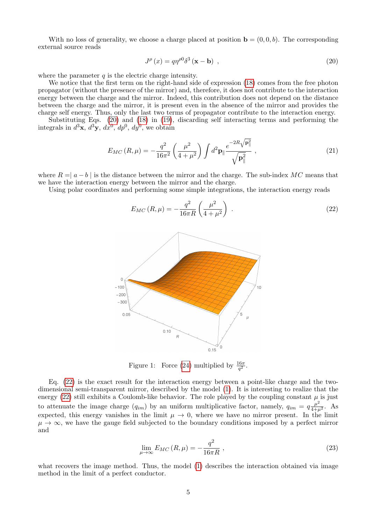With no loss of generality, we choose a charge placed at position  $\mathbf{b} = (0, 0, b)$ . The corresponding external source reads

<span id="page-4-0"></span>
$$
J^{\rho}(x) = q\eta^{\rho 0} \delta^3(\mathbf{x} - \mathbf{b}) \tag{20}
$$

where the parameter  $q$  is the electric charge intensity.

We notice that the first term on the right-hand side of expression  $(18)$  comes from the free photon propagator (without the presence of the mirror) and, therefore, it does not contribute to the interaction energy between the charge and the mirror. Indeed, this contribution does not depend on the distance between the charge and the mirror, it is present even in the absence of the mirror and provides the charge self energy. Thus, only the last two terms of propagator contribute to the interaction energy.

Substituting Eqs. [\(20\)](#page-4-0) and [\(18\)](#page-3-4) in [\(19\)](#page-3-5), discarding self interacting terms and performing the integrals in  $d^3\mathbf{x}, d^3\mathbf{y}, dx^0, dp^0, dy^0$ , we obtain

$$
E_{MC} (R, \mu) = -\frac{q^2}{16\pi^2} \left(\frac{\mu^2}{4 + \mu^2}\right) \int d^2 \mathbf{p}_{\parallel} \frac{e^{-2R\sqrt{\mathbf{p}_{\parallel}^2}}}{\sqrt{\mathbf{p}_{\parallel}^2}} ,
$$
 (21)

where  $R = |a - b|$  is the distance between the mirror and the charge. The sub-index MC means that we have the interaction energy between the mirror and the charge.

Using polar coordinates and performing some simple integrations, the interaction energy reads

<span id="page-4-1"></span>
$$
E_{MC} (R, \mu) = -\frac{q^2}{16\pi R} \left(\frac{\mu^2}{4 + \mu^2}\right) \tag{22}
$$



<span id="page-4-2"></span>Figure 1: Force [\(24\)](#page-5-1) multiplied by  $\frac{16\pi}{q^2}$ .

Eq. [\(22\)](#page-4-1) is the exact result for the interaction energy between a point-like charge and the twodimensional semi-transparent mirror, described by the model [\(1\)](#page-1-1). It is interesting to realize that the energy [\(22\)](#page-4-1) still exhibits a Coulomb-like behavior. The role played by the coupling constant  $\mu$  is just to attenuate the image charge  $(q_{im})$  by an uniform multiplicative factor, namely,  $q_{im} = q \frac{\mu^2}{4 + \mu^2}$ . As expected, this energy vanishes in the limit  $\mu \to 0$ , where we have no mirror present. In the limit  $\mu \to \infty$ , we have the gauge field subjected to the boundary conditions imposed by a perfect mirror and

$$
\lim_{\mu \to \infty} E_{MC} (R, \mu) = -\frac{q^2}{16\pi R}, \qquad (23)
$$

what recovers the image method. Thus, the model [\(1\)](#page-1-1) describes the interaction obtained via image method in the limit of a perfect conductor.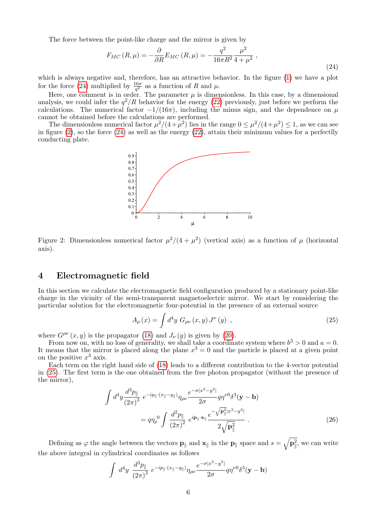The force between the point-like charge and the mirror is given by

<span id="page-5-1"></span>
$$
F_{MC}(R,\mu) = -\frac{\partial}{\partial R} E_{MC}(R,\mu) = -\frac{q^2}{16\pi R^2} \frac{\mu^2}{4+\mu^2} \,,
$$
\n(24)

which is always negative and, therefore, has an attractive behavior. In the figure [\(1\)](#page-4-2) we have a plot for the force [\(24\)](#page-5-1) multiplied by  $\frac{16\pi}{q^2}$  as a function of R and  $\mu$ .

Here, one comment is in order. The parameter  $\mu$  is dimensionless. In this case, by a dimensional analysis, we could infer the  $q^2/R$  behavior for the energy [\(22\)](#page-4-1) previously, just before we perform the calculations. The numerical factor  $-1/(16\pi)$ , including the minus sign, and the dependence on  $\mu$ cannot be obtained before the calculations are performed.

The dimensionless numerical factor  $\mu^2/(4+\mu^2)$  lies in the range  $0 \leq \mu^2/(4+\mu^2) \leq 1$ , as we can see in figure [\(2\)](#page-5-2), so the force [\(24\)](#page-5-1) as well as the energy [\(22\)](#page-4-1), attain their minimum values for a perfectlly conducting plate.



<span id="page-5-2"></span>Figure 2: Dimensionless numerical factor  $\mu^2/(4+\mu^2)$  (vertical axis) as a function of  $\mu$  (horizontal axis).

# <span id="page-5-0"></span>4 Electromagnetic field

In this section we calculate the electromagnetic field configuration produced by a stationary point-like charge in the vicinity of the semi-transparent magnetoelectric mirror. We start by considering the particular solution for the electromagnetic four-potential in the presence of an external source

<span id="page-5-3"></span>
$$
A_{\rho}(x) = \int d^4 y \; G_{\rho\nu}(x, y) \, J^{\nu}(y) \; , \tag{25}
$$

where  $G^{\rho\nu}(x, y)$  is the propagator [\(18\)](#page-3-4) and  $J_{\nu}(y)$  is given by [\(20\)](#page-4-0).

From now on, with no loss of generality, we shall take a coordinate system where  $b^3 > 0$  and  $a = 0$ . It means that the mirror is placed along the plane  $x^3 = 0$  and the particle is placed at a given point on the positive  $x^3$  axis.

Each term on the right hand side of [\(18\)](#page-3-4) leads to a different contribution to the 4-vector potential in [\(25\)](#page-5-3). The first term is the one obtained from the free photon propagator (without the presence of the mirror),

$$
\int d^4 y \frac{d^3 p_{\parallel}}{(2\pi)^3} e^{-ip_{\parallel} \cdot (x_{\parallel} - y_{\parallel})} \eta_{\rho\nu} \frac{e^{-\sigma |x^3 - y^3|}}{2\sigma} q \eta^{\nu 0} \delta^3 (\mathbf{y} - \mathbf{b})
$$

$$
= q \eta_{\rho}^{0} \int \frac{d^2 p_{\parallel}}{(2\pi)^2} e^{i \mathbf{p}_{\parallel} \cdot \mathbf{x}_{\parallel}} \frac{e^{-\sqrt{\mathbf{p}_{\parallel}^2} |x^3 - y^3|}}{2\sqrt{\mathbf{p}_{\parallel}^2}} .
$$
(26)

Defining as  $\varphi$  the angle between the vectors  $\mathbf{p}_{\parallel}$  and  $\mathbf{x}_{\parallel}$  in the  $\mathbf{p}_{\parallel}$  space and  $s = \sqrt{\mathbf{p}_{\parallel}^2}$ , we can write the above integral in cylindrical coordinates as follows

<span id="page-5-4"></span>
$$
\int d^4 y \; \frac{d^3 p_{\parallel}}{(2\pi)^3} \; e^{-ip_{\parallel} \cdot (x_{\parallel} - y_{\parallel})} \eta_{\rho\nu} \frac{e^{-\sigma |x^3 - y^3|}}{2\sigma} q \eta^{\nu 0} \delta^3 (\mathbf{y} - \mathbf{b})
$$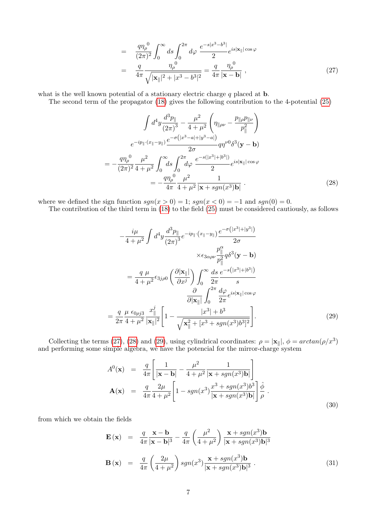$$
= \frac{q\eta_{\rho}^{0}}{(2\pi)^{2}} \int_{0}^{\infty} ds \int_{0}^{2\pi} d\varphi \frac{e^{-s|x^{3}-b^{3}|}}{2} e^{is|\mathbf{x}_{\parallel}| \cos \varphi}
$$

$$
= \frac{q}{4\pi} \frac{\eta_{\rho}^{0}}{\sqrt{|\mathbf{x}_{\parallel}|^{2}+|x^{3}-b^{3}|^{2}}} = \frac{q}{4\pi} \frac{\eta_{\rho}^{0}}{|\mathbf{x}-\mathbf{b}|}, \qquad (27)
$$

what is the well known potential of a stationary electric charge  $q$  placed at **.** 

The second term of the propagator [\(18\)](#page-3-4) gives the following contribution to the 4-potential [\(25\)](#page-5-3)

<span id="page-6-0"></span>
$$
\int d^4 y \frac{d^3 p_{\parallel}}{(2\pi)^3} - \frac{\mu^2}{4 + \mu^2} \left( \eta_{\parallel \rho \nu} - \frac{p_{\parallel \rho} p_{\parallel \nu}}{p_{\parallel}^2} \right)
$$

$$
e^{-ip_{\parallel} \cdot (x_{\parallel} - y_{\parallel})} \frac{e^{-\sigma (|x^3 - a| + |y^3 - a|)}}{2\sigma} q \eta^{\nu 0} \delta^3 (\mathbf{y} - \mathbf{b})
$$

$$
= -\frac{q \eta_{\rho}^0}{(2\pi)^2} \frac{\mu^2}{4 + \mu^2} \int_0^\infty ds \int_0^{2\pi} d\varphi \frac{e^{-s(|x^3| + |b^3|)}}{2} e^{is|\mathbf{x}_{\parallel}| \cos \varphi}
$$

$$
= -\frac{q \eta_{\rho}^0}{4\pi} \frac{\mu^2}{4 + \mu^2} \frac{1}{|\mathbf{x} + sgn(x^3)\mathbf{b}|} . \tag{28}
$$

where we defined the sign function  $sgn(x > 0) = 1$ ;  $sgn(x < 0) = -1$  and  $sgn(0) = 0$ .

The contribution of the third term in [\(18\)](#page-3-4) to the field [\(25\)](#page-5-3) must be considered cautiously, as follows

<span id="page-6-1"></span>
$$
-\frac{i\mu}{4+\mu^2} \int d^4 y \frac{d^3 p_{\parallel}}{(2\pi)^3} e^{-ip_{\parallel} \cdot (x_{\parallel} - y_{\parallel})} \frac{e^{-\sigma(|x^3| + |y^3|)}}{2\sigma}
$$

$$
\times \epsilon_{3\alpha\rho\nu} \frac{p_{\parallel}^{\alpha}}{p_{\parallel}^2} q \delta^3 (\mathbf{y} - \mathbf{b})
$$

$$
= \frac{q}{4+\mu^2} \epsilon_{3j\rho 0} \left(\frac{\partial |\mathbf{x}_{\parallel}|}{\partial x^j}\right) \int_0^\infty \frac{ds}{2\pi} \frac{e^{-s(|x^3| + |b^3|)}}{s}
$$

$$
\frac{\partial}{\partial |\mathbf{x}_{\parallel}|} \int_0^{2\pi} \frac{d\varphi}{2\pi} e^{is|\mathbf{x}_{\parallel}| \cos \varphi}
$$

$$
= \frac{q}{2\pi} \frac{\mu}{4+\mu^2} \frac{\epsilon_{0\rho j3}}{|\mathbf{x}_{\parallel}|^2} \frac{x_{\parallel}^j}{|\mathbf{x}_{\parallel}|^2} \left[1 - \frac{|x^3| + b^3}{\sqrt{\mathbf{x}_{\parallel}^2 + [x^3 + sgn(x^3)b^3]^2}}\right]. \tag{29}
$$

Collecting the terms [\(27\)](#page-5-4), [\(28\)](#page-6-0) and [\(29\)](#page-6-1), using cylindrical coordinates:  $\rho = |\mathbf{x}_{\parallel}|$ ,  $\phi = \arctan(\rho/x^3)$ and performing some simple algebra, we have the potencial for the mirror-charge system

<span id="page-6-2"></span>
$$
A^{0}(\mathbf{x}) = \frac{q}{4\pi} \left[ \frac{1}{|\mathbf{x} - \mathbf{b}|} - \frac{\mu^{2}}{4 + \mu^{2}} \frac{1}{|\mathbf{x} + sgn(x^{3})\mathbf{b}|} \right]
$$
  
\n
$$
\mathbf{A}(\mathbf{x}) = \frac{q}{4\pi} \frac{2\mu}{4 + \mu^{2}} \left[ 1 - sgn(x^{3}) \frac{x^{3} + sgn(x^{3})b^{3}}{|\mathbf{x} + sgn(x^{3})\mathbf{b}|} \right] \frac{\hat{\phi}}{\rho}.
$$
\n(30)

from which we obtain the fields

<span id="page-6-3"></span>
$$
\mathbf{E}(\mathbf{x}) = \frac{q}{4\pi} \frac{\mathbf{x} - \mathbf{b}}{|\mathbf{x} - \mathbf{b}|^3} - \frac{q}{4\pi} \left(\frac{\mu^2}{4 + \mu^2}\right) \frac{\mathbf{x} + sgn(x^3)\mathbf{b}}{|\mathbf{x} + sgn(x^3)\mathbf{b}|^3}
$$

$$
\mathbf{B}(\mathbf{x}) = \frac{q}{4\pi} \left(\frac{2\mu}{4 + \mu^2}\right) sgn(x^3) \frac{\mathbf{x} + sgn(x^3)\mathbf{b}}{|\mathbf{x} + sgn(x^3)\mathbf{b}|^3} \,. \tag{31}
$$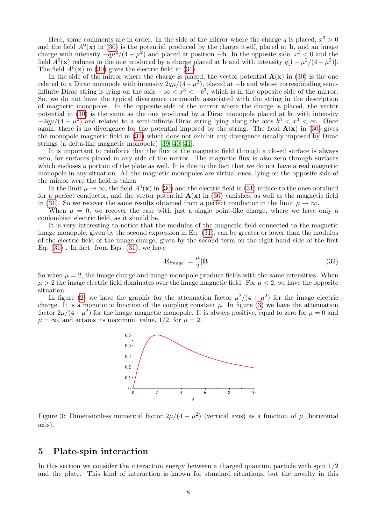Here, some comments are in order. In the side of the mirror where the charge q is placed,  $x^3 > 0$ and the field  $A^0(\mathbf{x})$  in [\(30\)](#page-6-2) is the potential produced by the charge itself, placed at **b**, and an image charge with intensity  $-q\mu^2/(4+\mu^2)$  and placed at position  $-\mathbf{b}$ . In the opposite side,  $x^3 < 0$  and the field  $A^0(\mathbf{x})$  reduces to the one produced by a charge placed at **b** and with intensity  $q[1 - \mu^2/(4 + \mu^2)].$ The field  $A^0(\mathbf{x})$  in [\(30\)](#page-6-2) gives the electric field in [\(31\)](#page-6-3).

In the side of the mirror where the charge is placed, the vector potential  $\mathbf{A}(\mathbf{x})$  in [\(30\)](#page-6-2) is the one related to a Dirac monopole with intensity  $2q\mu/(4+\mu^2)$ , placed at  $-\mathbf{b}$  and whose corresponding semiinfinite Dirac string is lying on the axis  $-\infty < x^3 < -b^3$ , which is in the opposite side of the mirror. So, we do not have the typical divergence commonly associated with the string in the description of magnetic monopoles. In the opposite side of the mirror where the charge is placed, the vector potential in [\(30\)](#page-6-2) is the same as the one produced by a Dirac monopole placed at b, with intensity  $-2q\mu/(4+\mu^2)$  and related to a semi-infinite Dirac string lying along the axis  $b^3 < x^3 < \infty$ . Once again, there is no divergence for the potential imposed by the string. The field  $\mathbf{A}(\mathbf{x})$  in [\(30\)](#page-6-2) gives the monopole magnetic field in [\(31\)](#page-6-3) which does not exhibit any divergence usually imposed by Dirac strings (a delta-like magnetic monopole) [\[39,](#page-12-9) [40,](#page-12-10) [41\]](#page-12-11).

It is important to reinforce that the flux of the magnetic field through a closed surface is always zero, for surfaces placed in any side of the mirror. The magnetic flux is also zero through surfaces which encloses a portion of the plate as well. It is due to the fact that we do not have a real magnetic monopole in any situation. All the magnetic monopoles are virtual ones, lying on the opposite side of the mirror were the field is taken.

In the limit  $\mu \to \infty$ , the field  $A^0(\mathbf{x})$  in [\(30\)](#page-6-2) and the electric field in [\(31\)](#page-6-3) reduce to the ones obtained for a perfect conductor, and the vector potential  $\mathbf{A}(\mathbf{x})$  in [\(30\)](#page-6-2) vanishes, as well as the magnetic field in [\(31\)](#page-6-3). So we recover the same results obtained from a perfect conductor in the limit  $\mu \to \infty$ .

When  $\mu = 0$ , we recover the case with just a single point-like charge, where we have only a coulombian electric field, as it should be.

It is very interesting to notice that the modulus of the magnetic field connected to the magnetic image monopole, given by the second expression in Eq. [\(31\)](#page-6-3), can be greater or lower than the modulus of the electric field of the image charge, given by the second term on the right hand side of the first Eq.  $(31)$ . In fact, from Eqs.  $(31)$ , we have

$$
|\mathbf{E}_{image}| = \frac{\mu}{2} |\mathbf{B}| \tag{32}
$$

So when  $\mu = 2$ , the image charge and image monopole produce fields with the same intensities. When  $\mu > 2$  the image electric field dominates over the image magnetic field. For  $\mu < 2$ , we have the opposite situation.

In figure [\(2\)](#page-5-2) we have the graphic for the attenuation factor  $\mu^2/(4+\mu^2)$  for the image electric charge. It is a monotonic function of the coupling constant  $\mu$ . In figure [\(3\)](#page-7-1) we have the attenuation factor  $2\mu/(4+\mu^2)$  for the image magnetic monopole. It is always positive, equal to zero for  $\mu=0$  and  $\mu = \infty$ , and attains its maximum value, 1/2, for  $\mu = 2$ .



<span id="page-7-1"></span>Figure 3: Dimensionless numerical factor  $2\mu/(4 + \mu^2)$  (vertical axis) as a function of  $\mu$  (horizontal axis).

### <span id="page-7-0"></span>5 Plate-spin interaction

In this section we consider the interaction energy between a charged quantum particle with spin  $1/2$ and the plate. This kind of interaction is known for standard situations, but the novelty in this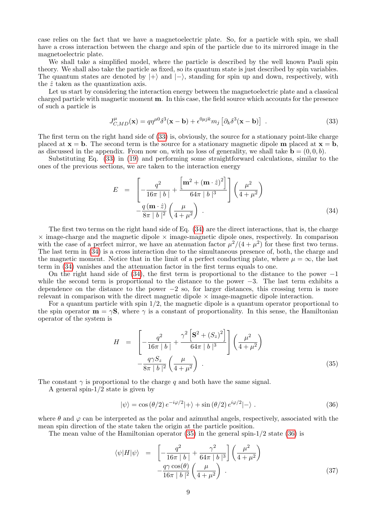case relies on the fact that we have a magnetoelectric plate. So, for a particle with spin, we shall have a cross interaction between the charge and spin of the particle due to its mirrored image in the magnetoelectric plate.

We shall take a simplified model, where the particle is described by the well known Pauli spin theory. We shall also take the particle as fixed, so its quantum state is just described by spin variables. The quantum states are denoted by  $|+\rangle$  and  $|-\rangle$ , standing for spin up and down, respectively, with the  $\hat{z}$  taken as the quantization axis.

Let us start by considering the interaction energy between the magnetoelectric plate and a classical charged particle with magnetic moment m. In this case, the field source which accounts for the presence of such a particle is

<span id="page-8-0"></span>
$$
J_{C,MD}^{\mu}(\mathbf{x}) = q\eta^{\mu 0}\delta^3(\mathbf{x} - \mathbf{b}) + \epsilon^{0\mu jk}m_j \left[\partial_k \delta^3(\mathbf{x} - \mathbf{b})\right] \tag{33}
$$

The first term on the right hand side of [\(33\)](#page-8-0) is, obviously, the source for a stationary point-like charge placed at  $x = b$ . The second term is the source for a stationary magnetic dipole **m** placed at  $x = b$ , as discussed in the appendix. From now on, with no loss of generality, we shall take  $\mathbf{b} = (0, 0, b)$ .

Substituting Eq. [\(33\)](#page-8-0) in [\(19\)](#page-3-5) and performing some straightforward calculations, similar to the ones of the previous sections, we are taken to the interaction energy

<span id="page-8-1"></span>
$$
E = \left[ -\frac{q^2}{16\pi |b|} + \frac{\left[ \mathbf{m}^2 + (\mathbf{m} \cdot \hat{z})^2 \right]}{64\pi |b|^3} \right] \left( \frac{\mu^2}{4 + \mu^2} \right) - \frac{q (\mathbf{m} \cdot \hat{z})}{8\pi |b|^2} \left( \frac{\mu}{4 + \mu^2} \right) .
$$
 (34)

The first two terms on the right hand side of Eq. [\(34\)](#page-8-1) are the direct interactions, that is, the charge  $\times$  image-charge and the magnetic dipole  $\times$  image-magnetic dipole ones, respectively. In comparison with the case of a perfect mirror, we have an atenuation factor  $\mu^2/(4+\mu^2)$  for these first two terms. The last term in [\(34\)](#page-8-1) is a cross interaction due to the simultaneous presence of, both, the charge and the magnetic moment. Notice that in the limit of a perfect conducting plate, where  $\mu = \infty$ , the last term in [\(34\)](#page-8-1) vanishes and the attenuation factor in the first terms equals to one.

On the right hand side of  $(34)$ , the first term is proportional to the distance to the power  $-1$ while the second term is proportional to the distance to the power  $-3$ . The last term exhibits a dependence on the distance to the power  $-2$  so, for larger distances, this crossing term is more relevant in comparison with the direct magnetic dipole  $\times$  image-magnetic dipole interaction.

For a quantum particle with spin 1/2, the magnetic dipole is a quantum operator proportional to the spin operator  $\mathbf{m} = \gamma \mathbf{S}$ , where  $\gamma$  is a constant of proportionality. In this sense, the Hamiltonian operator of the system is

<span id="page-8-2"></span>
$$
H = \left[ -\frac{q^2}{16\pi |b|} + \frac{\gamma^2 \left[ \mathbf{S}^2 + (S_z)^2 \right]}{64\pi |b|^3} \right] \left( \frac{\mu^2}{4 + \mu^2} \right) - \frac{q\gamma S_z}{8\pi |b|^2} \left( \frac{\mu}{4 + \mu^2} \right) .
$$
 (35)

The constant  $\gamma$  is proportional to the charge q and both have the same signal.

A general spin-1/2 state is given by

<span id="page-8-3"></span>
$$
|\psi\rangle = \cos(\theta/2) e^{-i\varphi/2}|+\rangle + \sin(\theta/2) e^{i\varphi/2}|-\rangle. \tag{36}
$$

where  $\theta$  and  $\varphi$  can be interpreted as the polar and azimuthal angels, respectively, associated with the mean spin direction of the state taken the origin at the particle position.

The mean value of the Hamiltonian operator  $(35)$  in the general spin-1/2 state  $(36)$  is

<span id="page-8-4"></span>
$$
\langle \psi | H | \psi \rangle = \left[ -\frac{q^2}{16\pi \mid b \mid} + \frac{\gamma^2}{64\pi \mid b \mid^3} \right] \left( \frac{\mu^2}{4 + \mu^2} \right) - \frac{q \gamma \cos(\theta)}{16\pi \mid b \mid^2} \left( \frac{\mu}{4 + \mu^2} \right) .
$$
\n(37)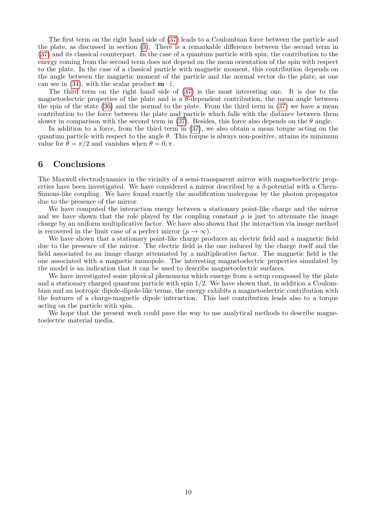The first term on the right hand side of [\(37\)](#page-8-4) leads to a Coulombian force between the particle and the plate, as discussed in section [\(3\)](#page-3-0). There is a remarkable difference between the second term in [\(37\)](#page-8-4) and its classical counterpart. In the case of a quantum particle with spin, the contribution to the energy coming from the second term does not depend on the mean orientation of the spin with respect to the plate. In the case of a classical particle with magnetic moment, this contribution depends on the angle between the magnetic moment of the particle and the normal vector do the plate, as one can see in [\(34\)](#page-8-1), with the scalar product  $\mathbf{m} \cdot \hat{z}$ .

The third term on the right hand side of [\(37\)](#page-8-4) is the most interesting one. It is due to the magnetoelectric properties of the plate and is a  $\theta$ -dependent contribution, the mean angle between the spin of the state [\(36\)](#page-8-3) and the normal to the plate. From the third term in [\(37\)](#page-8-4) we have a mean contribution to the force between the plate and particle which falls with the distance between them slower in comparison with the second term in [\(37\)](#page-8-4). Besides, this force also depends on the  $\theta$  angle.

In addition to a force, from the third term in [\(37\)](#page-8-4), we also obtain a mean torque acting on the quantum particle with respect to the angle  $\theta$ . This torque is always non-positive, attains its minimum value for  $\theta = \pi/2$  and vanishes when  $\theta = 0, \pi$ .

### <span id="page-9-0"></span>6 Conclusions

The Maxwell electrodynamics in the vicinity of a semi-transparent mirror with magnetoelectric properties have been investigated. We have considered a mirror described by a  $\delta$ -potential with a Chern-Simons-like coupling. We have found exactly the modification undergone by the photon propagator due to the presence of the mirror.

We have computed the interaction energy between a stationary point-like charge and the mirror and we have shown that the role played by the coupling constant  $\mu$  is just to attenuate the image charge by an uniform multiplicative factor. We have also shown that the interaction via image method is recovered in the limit case of a perfect mirror  $(\mu \to \infty)$ .

We have shown that a stationary point-like charge produces an electric field and a magnetic field due to the presence of the mirror. The electric field is the one induced by the charge itself and the field associated to an image charge attenuated by a multiplicative factor. The magnetic field is the one associated with a magnetic monopole. The interesting magnetoelectric properties simulated by the model is an indication that it can be used to describe magnetoelectric surfaces.

We have investigated some physical phenomena which emerge from a setup composed by the plate and a stationary charged quantum particle with spin  $1/2$ . We have shown that, in addition a Coulombian and an isotropic dipole-dipole-like terms, the energy exhibits a magnetoelectric contribution with the features of a charge-magnetic dipole interaction. This last contribution leads also to a torque acting on the particle with spin.

We hope that the present work could pave the way to use analytical methods to describe magnetoelectric material media.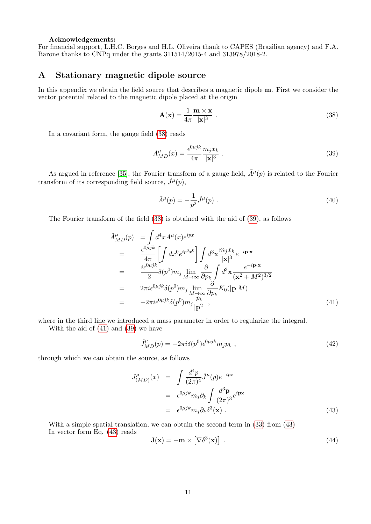#### Acknowledgements:

For financial support, L.H.C. Borges and H.L. Oliveira thank to CAPES (Brazilian agency) and F.A. Barone thanks to CNPq under the grants 311514/2015-4 and 313978/2018-2.

# A Stationary magnetic dipole source

In this appendix we obtain the field source that describes a magnetic dipole m. First we consider the vector potential related to the magnetic dipole placed at the origin

<span id="page-10-0"></span>
$$
\mathbf{A}(\mathbf{x}) = \frac{1}{4\pi} \frac{\mathbf{m} \times \mathbf{x}}{|\mathbf{x}|^3} \tag{38}
$$

In a covariant form, the gauge field [\(38\)](#page-10-0) reads

<span id="page-10-1"></span>
$$
A_{MD}^{\mu}(x) = \frac{\epsilon^{0\mu jk}}{4\pi} \frac{m_j x_k}{|\mathbf{x}|^3} \tag{39}
$$

As argued in reference [\[35\]](#page-12-5), the Fourier transform of a gauge field,  $\tilde{A}^{\mu}(p)$  is related to the Fourier transform of its corresponding field source,  $\tilde{J}^{\mu}(p)$ ,

$$
\tilde{A}^{\mu}(p) = -\frac{1}{p^2}\tilde{J}^{\mu}(p) \ . \tag{40}
$$

The Fourier transform of the field [\(38\)](#page-10-0) is obtained with the aid of [\(39\)](#page-10-1), as follows

<span id="page-10-2"></span>
$$
\tilde{A}_{MD}^{\mu}(p) = \int d^4x A^{\mu}(x)e^{ipx}
$$
\n
$$
= \frac{\epsilon^{0\mu jk}}{4\pi} \left[ \int dx^0 e^{ip^0x^0} \right] \int d^3x \frac{m_j x_k}{|\mathbf{x}|^3} e^{-i\mathbf{p}\cdot\mathbf{x}}
$$
\n
$$
= \frac{i\epsilon^{0\mu jk}}{2} \delta(p^0) m_j \lim_{M \to \infty} \frac{\partial}{\partial p_k} \int d^3x \frac{e^{-i\mathbf{p}\cdot\mathbf{x}}}{(\mathbf{x}^2 + M^2)^{3/2}}
$$
\n
$$
= 2\pi i \epsilon^{0\mu jk} \delta(p^0) m_j \lim_{M \to \infty} \frac{\partial}{\partial p_k} K_0(|\mathbf{p}|M)
$$
\n
$$
= -2\pi i \epsilon^{0\mu jk} \delta(p^0) m_j \frac{p_k}{|\mathbf{p}^2|}, \tag{41}
$$

where in the third line we introduced a mass parameter in order to regularize the integral.

With the aid of [\(41\)](#page-10-2) and [\(39\)](#page-10-1) we have

$$
\tilde{J}_{MD}^{\mu}(p) = -2\pi i \delta(p^0) \epsilon^{0\mu jk} m_j p_k , \qquad (42)
$$

through which we can obtain the source, as follows

<span id="page-10-3"></span>
$$
J_{(MD)}^{\mu}(x) = \int \frac{d^4 p}{(2\pi)^4} \tilde{J}^{\mu}(p) e^{-ipx}
$$
  
=  $\epsilon^{0\mu jk} m_j \partial_k \int \frac{d^3 \mathbf{p}}{(2\pi)^3} e^{i\mathbf{p}\mathbf{x}}$   
=  $\epsilon^{0\mu jk} m_j \partial_k \delta^3(\mathbf{x})$ . (43)

With a simple spatial translation, we can obtain the second term in [\(33\)](#page-8-0) from [\(43\)](#page-10-3) In vector form Eq. [\(43\)](#page-10-3) reads

$$
\mathbf{J}(\mathbf{x}) = -\mathbf{m} \times \left[ \nabla \delta^3(\mathbf{x}) \right] \tag{44}
$$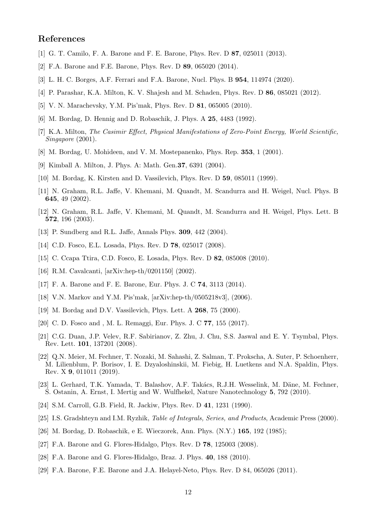# References

- <span id="page-11-0"></span>[1] G. T. Camilo, F. A. Barone and F. E. Barone, Phys. Rev. D 87, 025011 (2013).
- <span id="page-11-1"></span>[2] F.A. Barone and F.E. Barone, Phys. Rev. D 89, 065020 (2014).
- <span id="page-11-2"></span>[3] L. H. C. Borges, A.F. Ferrari and F.A. Barone, Nucl. Phys. B 954, 114974 (2020).
- <span id="page-11-3"></span>[4] P. Parashar, K.A. Milton, K. V. Shajesh and M. Schaden, Phys. Rev. D 86, 085021 (2012).
- <span id="page-11-4"></span>[5] V. N. Marachevsky, Y.M. Pis'mak, Phys. Rev. D 81, 065005 (2010).
- <span id="page-11-5"></span>[6] M. Bordag, D. Hennig and D. Robaschik, J. Phys. A 25, 4483 (1992).
- <span id="page-11-6"></span>[7] K.A. Milton, The Casimir Effect, Physical Manifestations of Zero-Point Energy, World Scientific, Singapore (2001).
- <span id="page-11-7"></span>[8] M. Bordag, U. Mohideen, and V. M. Mostepanenko, Phys. Rep. 353, 1 (2001).
- <span id="page-11-8"></span>[9] Kimball A. Milton, J. Phys. A: Math. Gen.37, 6391 (2004).
- <span id="page-11-9"></span>[10] M. Bordag, K. Kirsten and D. Vassilevich, Phys. Rev. D 59, 085011 (1999).
- <span id="page-11-10"></span>[11] N. Graham, R.L. Jaffe, V. Khemani, M. Quandt, M. Scandurra and H. Weigel, Nucl. Phys. B 645, 49 (2002).
- <span id="page-11-11"></span>[12] N. Graham, R.L. Jaffe, V. Khemani, M. Quandt, M. Scandurra and H. Weigel, Phys. Lett. B 572, 196 (2003).
- <span id="page-11-12"></span>[13] P. Sundberg and R.L. Jaffe, Annals Phys. 309, 442 (2004).
- <span id="page-11-13"></span>[14] C.D. Fosco, E.L. Losada, Phys. Rev. D **78**, 025017 (2008).
- <span id="page-11-14"></span>[15] C. Ccapa Ttira, C.D. Fosco, E. Losada, Phys. Rev. D 82, 085008 (2010).
- <span id="page-11-15"></span>[16] R.M. Cavalcanti, [arXiv:hep-th/0201150] (2002).
- <span id="page-11-16"></span>[17] F. A. Barone and F. E. Barone, Eur. Phys. J. C 74, 3113 (2014).
- <span id="page-11-17"></span>[18] V.N. Markov and Y.M. Pis'mak, [arXiv:hep-th/0505218v3], (2006).
- <span id="page-11-18"></span>[19] M. Bordag and D.V. Vassilevich, Phys. Lett. A **268**, 75 (2000).
- <span id="page-11-19"></span>[20] C. D. Fosco and , M. L. Remaggi, Eur. Phys. J. C **77**, 155 (2017).
- <span id="page-11-20"></span>[21] C.G. Duan, J.P. Velev, R.F. Sabirianov, Z. Zhu, J. Chu, S.S. Jaswal and E. Y. Tsymbal, Phys. Rev. Lett. 101, 137201 (2008).
- <span id="page-11-22"></span>[22] Q.N. Meier, M. Fechner, T. Nozaki, M. Sahashi, Z. Salman, T. Prokscha, A. Suter, P. Schoenherr, M. Lilienblum, P. Borisov, I. E. Dzyaloshinskii, M. Fiebig, H. Luetkens and N.A. Spaldin, Phys. Rev. X 9, 011011 (2019).
- <span id="page-11-21"></span>[23] L. Gerhard, T.K. Yamada, T. Balashov, A.F. Takács, R.J.H. Wesselink, M. Däne, M. Fechner, S. Ostanin, A. Ernst, I. Mertig and W. Wulfhekel, Nature Nanotechnology 5, 792 (2010).
- <span id="page-11-23"></span>[24] S.M. Carroll, G.B. Field, R. Jackiw, Phys. Rev. D 41, 1231 (1990).
- <span id="page-11-24"></span>[25] I.S. Gradshteyn and I.M. Ryzhik, *Table of Integrals, Series, and Products*, Academic Press (2000).
- <span id="page-11-25"></span>[26] M. Bordag, D. Robaschik, e E. Wieczorek, Ann. Phys. (N.Y.) 165, 192 (1985);
- <span id="page-11-26"></span>[27] F.A. Barone and G. Flores-Hidalgo, Phys. Rev. D 78, 125003 (2008).
- <span id="page-11-27"></span>[28] F.A. Barone and G. Flores-Hidalgo, Braz. J. Phys. 40, 188 (2010).
- <span id="page-11-28"></span>[29] F.A. Barone, F.E. Barone and J.A. Helayel-Neto, Phys. Rev. D 84, 065026 (2011).